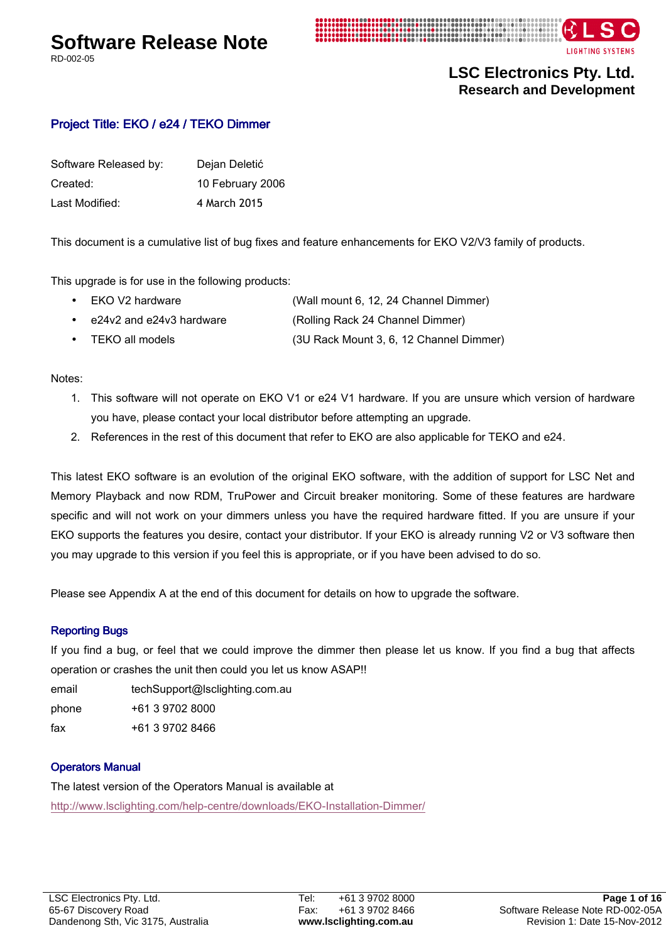# **Software Release Note**

RD-002-05





**LSC Electronics Pty. Ltd. Research and Development** 

# Project Title: EKO / e24 / TEKO Dimmer

| Software Released by: | Dejan Deletić    |
|-----------------------|------------------|
| Created:              | 10 February 2006 |
| Last Modified:        | 4 March 2015     |

This document is a cumulative list of bug fixes and feature enhancements for EKO V2/V3 family of products.

This upgrade is for use in the following products:

| (Wall mount 6, 12, 24 Channel Dimmer)<br>EKO V2 hardware |  |
|----------------------------------------------------------|--|
|----------------------------------------------------------|--|

- e24v2 and e24v3 hardware (Rolling Rack 24 Channel Dimmer)
- TEKO all models (3U Rack Mount 3, 6, 12 Channel Dimmer)

Notes:

- 1. This software will not operate on EKO V1 or e24 V1 hardware. If you are unsure which version of hardware you have, please contact your local distributor before attempting an upgrade.
- 2. References in the rest of this document that refer to EKO are also applicable for TEKO and e24.

This latest EKO software is an evolution of the original EKO software, with the addition of support for LSC Net and Memory Playback and now RDM, TruPower and Circuit breaker monitoring. Some of these features are hardware specific and will not work on your dimmers unless you have the required hardware fitted. If you are unsure if your EKO supports the features you desire, contact your distributor. If your EKO is already running V2 or V3 software then you may upgrade to this version if you feel this is appropriate, or if you have been advised to do so.

Please see Appendix A at the end of this document for details on how to upgrade the software.

### **Reporting Bugs**

If you find a bug, or feel that we could improve the dimmer then please let us know. If you find a bug that affects operation or crashes the unit then could you let us know ASAP!!

email techSupport@lsclighting.com.au

phone +61 3 9702 8000

fax +61 3 9702 8466

# Operators Manual

The latest version of the Operators Manual is available at http://www.lsclighting.com/help-centre/downloads/EKO-Installation-Dimmer/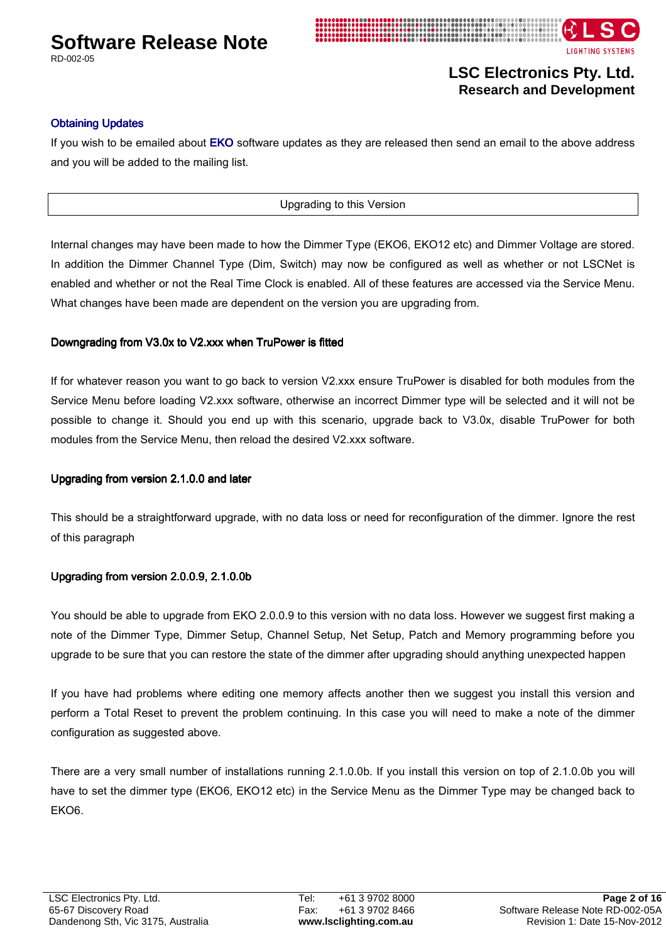

RD-002-05



# **LSC Electronics Pty. Ltd. Research and Development**

### **Obtaining Updates**

If you wish to be emailed about EKO software updates as they are released then send an email to the above address and you will be added to the mailing list.

### Upgrading to this Version

Internal changes may have been made to how the Dimmer Type (EKO6, EKO12 etc) and Dimmer Voltage are stored. In addition the Dimmer Channel Type (Dim, Switch) may now be configured as well as whether or not LSCNet is enabled and whether or not the Real Time Clock is enabled. All of these features are accessed via the Service Menu. What changes have been made are dependent on the version you are upgrading from.

### Downgrading from V3.0x to V2.xxx when TruPower is fitted

If for whatever reason you want to go back to version V2.xxx ensure TruPower is disabled for both modules from the Service Menu before loading V2.xxx software, otherwise an incorrect Dimmer type will be selected and it will not be possible to change it. Should you end up with this scenario, upgrade back to V3.0x, disable TruPower for both modules from the Service Menu, then reload the desired V2.xxx software.

### Upgrading from version 2.1.0.0 and later

This should be a straightforward upgrade, with no data loss or need for reconfiguration of the dimmer. Ignore the rest of this paragraph

### Upgrading from version 2.0.0.9, 2.1.0.0b

You should be able to upgrade from EKO 2.0.0.9 to this version with no data loss. However we suggest first making a note of the Dimmer Type, Dimmer Setup, Channel Setup, Net Setup, Patch and Memory programming before you upgrade to be sure that you can restore the state of the dimmer after upgrading should anything unexpected happen

If you have had problems where editing one memory affects another then we suggest you install this version and perform a Total Reset to prevent the problem continuing. In this case you will need to make a note of the dimmer configuration as suggested above.

There are a very small number of installations running 2.1.0.0b. If you install this version on top of 2.1.0.0b you will have to set the dimmer type (EKO6, EKO12 etc) in the Service Menu as the Dimmer Type may be changed back to EKO6.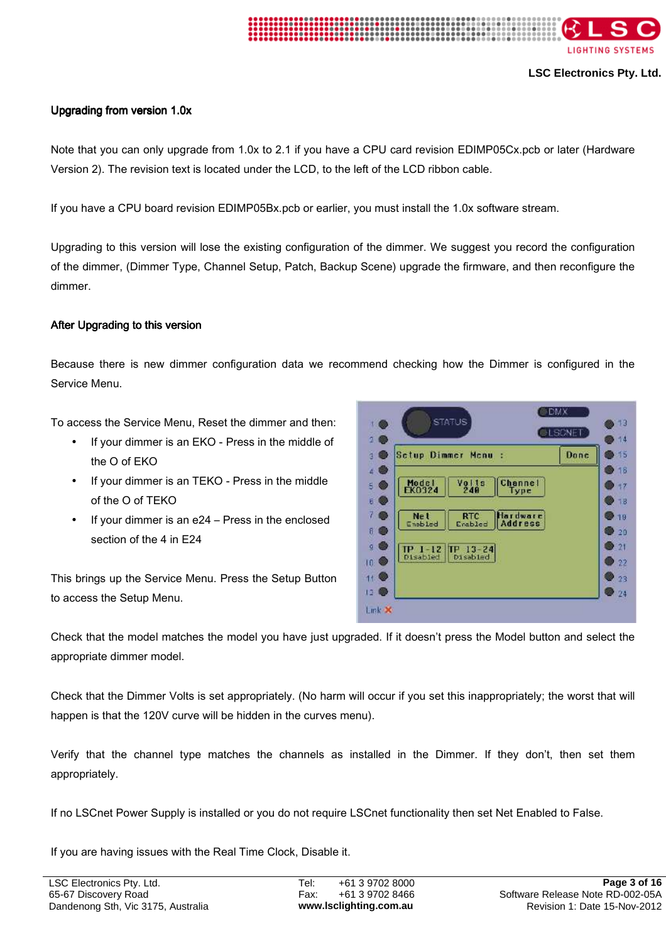

### Upgrading from version 1.0x

Note that you can only upgrade from 1.0x to 2.1 if you have a CPU card revision EDIMP05Cx.pcb or later (Hardware Version 2). The revision text is located under the LCD, to the left of the LCD ribbon cable.

If you have a CPU board revision EDIMP05Bx.pcb or earlier, you must install the 1.0x software stream.

Upgrading to this version will lose the existing configuration of the dimmer. We suggest you record the configuration of the dimmer, (Dimmer Type, Channel Setup, Patch, Backup Scene) upgrade the firmware, and then reconfigure the dimmer.

### After Upgrading to this version

Because there is new dimmer configuration data we recommend checking how the Dimmer is configured in the Service Menu.

To access the Service Menu, Reset the dimmer and then:

- If your dimmer is an EKO Press in the middle of the O of EKO
- If your dimmer is an TEKO Press in the middle of the O of TEKO
- If your dimmer is an e24 Press in the enclosed section of the 4 in E24

This brings up the Service Menu. Press the Setup Button to access the Setup Menu.



Check that the model matches the model you have just upgraded. If it doesn't press the Model button and select the appropriate dimmer model.

Check that the Dimmer Volts is set appropriately. (No harm will occur if you set this inappropriately; the worst that will happen is that the 120V curve will be hidden in the curves menu).

Verify that the channel type matches the channels as installed in the Dimmer. If they don't, then set them appropriately.

If no LSCnet Power Supply is installed or you do not require LSCnet functionality then set Net Enabled to False.

If you are having issues with the Real Time Clock, Disable it.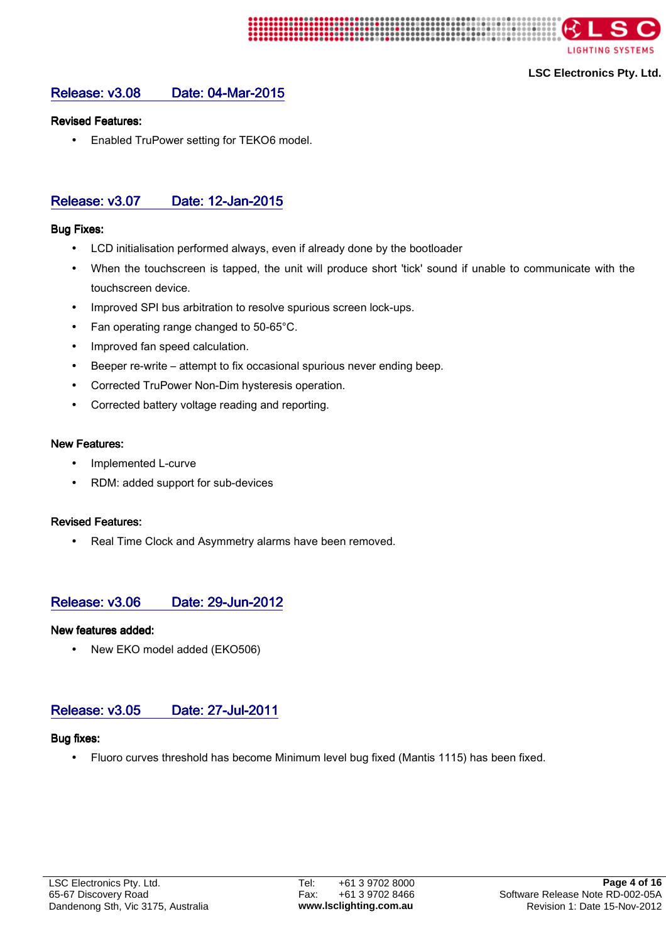

# Release: v3.08 Date: 04-Mar-2015

### Revised Features: Revised Features:

• Enabled TruPower setting for TEKO6 model.

# Release: v3.07 Date: 12-Jan-2015

### **Bug Fixes:**

- LCD initialisation performed always, even if already done by the bootloader
- When the touchscreen is tapped, the unit will produce short 'tick' sound if unable to communicate with the touchscreen device.
- Improved SPI bus arbitration to resolve spurious screen lock-ups.
- Fan operating range changed to 50-65°C.
- Improved fan speed calculation.
- Beeper re-write attempt to fix occasional spurious never ending beep.
- Corrected TruPower Non-Dim hysteresis operation.
- Corrected battery voltage reading and reporting.

### **New Features:**

- Implemented L-curve
- RDM: added support for sub-devices

### **Revised Features:**

• Real Time Clock and Asymmetry alarms have been removed.

# Release: v3.06 Date: 29-Jun-2012

### New features added:

New EKO model added (EKO506)

# Release: v3.05 Date: 27-Jul-2011

### Bug fixes:

• Fluoro curves threshold has become Minimum level bug fixed (Mantis 1115) has been fixed.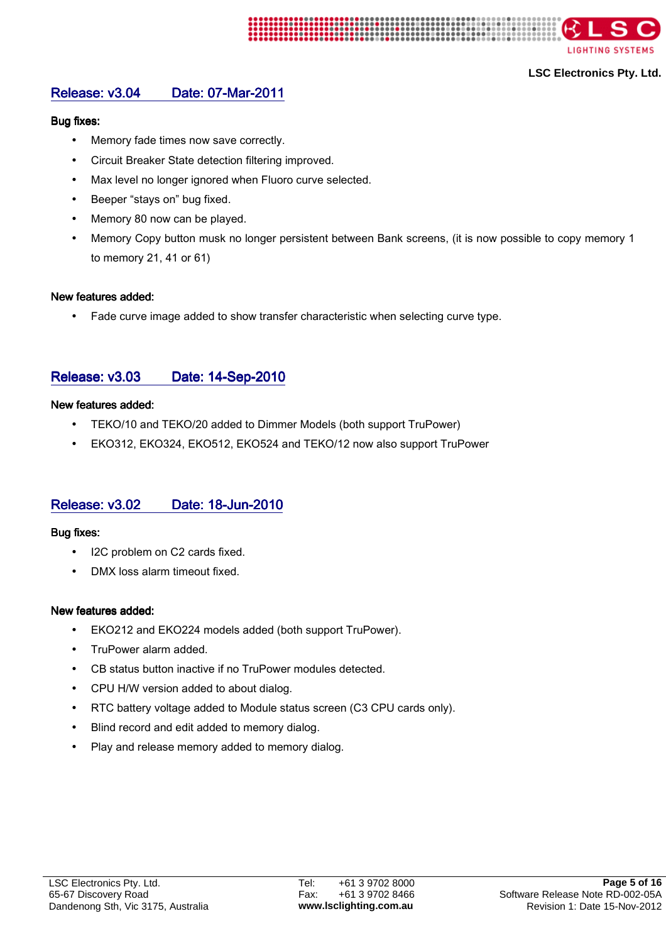

# Release: v3.04 Date: 07-Mar-2011

### **Bug fixes:**

- Memory fade times now save correctly.
- Circuit Breaker State detection filtering improved.
- Max level no longer ignored when Fluoro curve selected.
- Beeper "stays on" bug fixed.
- Memory 80 now can be played.
- Memory Copy button musk no longer persistent between Bank screens, (it is now possible to copy memory 1 to memory 21, 41 or 61)

### New features added:

• Fade curve image added to show transfer characteristic when selecting curve type.

# Release: v3.03 Date: 14-Sep-2010

### New features added:

- TEKO/10 and TEKO/20 added to Dimmer Models (both support TruPower)
- EKO312, EKO324, EKO512, EKO524 and TEKO/12 now also support TruPower

# Release: v3.02 Date: 18-Jun-2010

### **Bug fixes:**

- I2C problem on C2 cards fixed.
- DMX loss alarm timeout fixed.

### New features added:

- EKO212 and EKO224 models added (both support TruPower).
- TruPower alarm added.
- CB status button inactive if no TruPower modules detected.
- CPU H/W version added to about dialog.
- RTC battery voltage added to Module status screen (C3 CPU cards only).
- Blind record and edit added to memory dialog.
- Play and release memory added to memory dialog.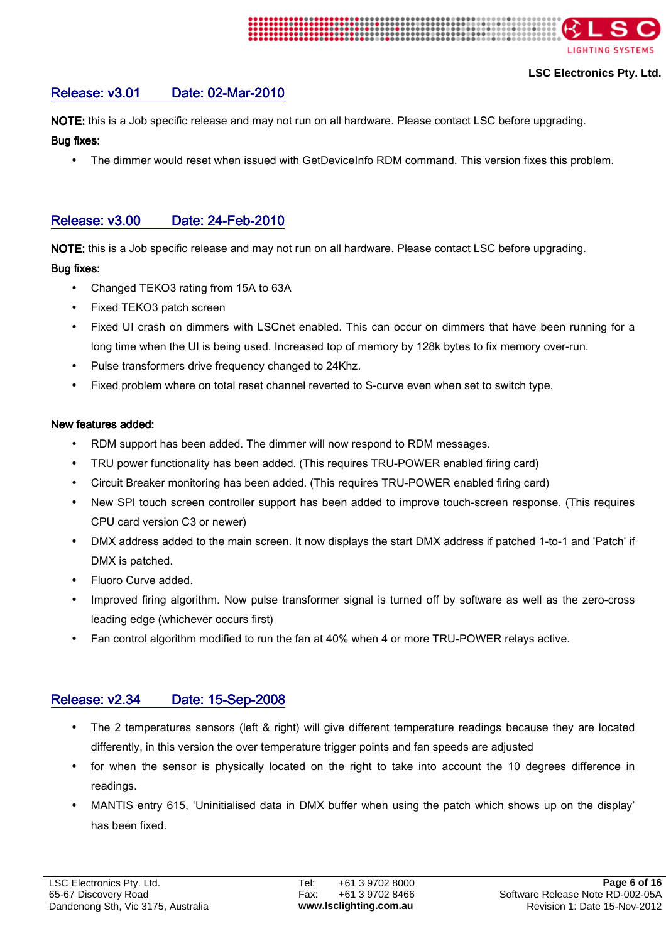

# Release: v3.01 Date: 02-Mar-2010

NOTE: this is a Job specific release and may not run on all hardware. Please contact LSC before upgrading.

Bug fixes:

The dimmer would reset when issued with GetDeviceInfo RDM command. This version fixes this problem.

# Release: v3.00 Date: 24-Feb-2010

NOTE: this is a Job specific release and may not run on all hardware. Please contact LSC before upgrading.

### Bug fixes:

- Changed TEKO3 rating from 15A to 63A
- Fixed TEKO3 patch screen
- Fixed UI crash on dimmers with LSCnet enabled. This can occur on dimmers that have been running for a long time when the UI is being used. Increased top of memory by 128k bytes to fix memory over-run.
- Pulse transformers drive frequency changed to 24Khz.
- Fixed problem where on total reset channel reverted to S-curve even when set to switch type.

### New features added:

- RDM support has been added. The dimmer will now respond to RDM messages.
- TRU power functionality has been added. (This requires TRU-POWER enabled firing card)
- Circuit Breaker monitoring has been added. (This requires TRU-POWER enabled firing card)
- New SPI touch screen controller support has been added to improve touch-screen response. (This requires CPU card version C3 or newer)
- DMX address added to the main screen. It now displays the start DMX address if patched 1-to-1 and 'Patch' if DMX is patched.
- Fluoro Curve added.
- Improved firing algorithm. Now pulse transformer signal is turned off by software as well as the zero-cross leading edge (whichever occurs first)
- Fan control algorithm modified to run the fan at 40% when 4 or more TRU-POWER relays active.

# Release: v2.34 Date: 15-Sep-2008

- The 2 temperatures sensors (left & right) will give different temperature readings because they are located differently, in this version the over temperature trigger points and fan speeds are adjusted
- for when the sensor is physically located on the right to take into account the 10 degrees difference in readings.
- MANTIS entry 615, 'Uninitialised data in DMX buffer when using the patch which shows up on the display' has been fixed.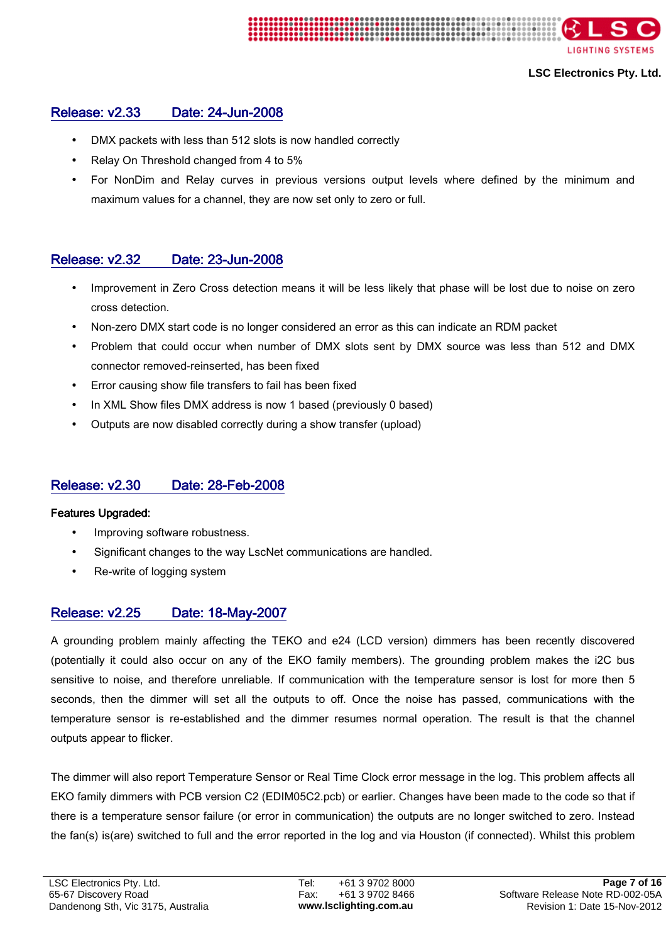

# Release: v2.33 Date: 24-Jun-2008

- DMX packets with less than 512 slots is now handled correctly
- Relay On Threshold changed from 4 to 5%
- For NonDim and Relay curves in previous versions output levels where defined by the minimum and maximum values for a channel, they are now set only to zero or full.

# Release: v2.32 Date: 23-Jun-2008

- Improvement in Zero Cross detection means it will be less likely that phase will be lost due to noise on zero cross detection.
- Non-zero DMX start code is no longer considered an error as this can indicate an RDM packet
- Problem that could occur when number of DMX slots sent by DMX source was less than 512 and DMX connector removed-reinserted, has been fixed
- Error causing show file transfers to fail has been fixed
- In XML Show files DMX address is now 1 based (previously 0 based)
- Outputs are now disabled correctly during a show transfer (upload)

# Release: v2.30 Date: 28-Feb-2008

### Features Upgraded: Features Upgraded:

- Improving software robustness.
- Significant changes to the way LscNet communications are handled.
- Re-write of logging system

# Release: v2.25 Date: 18-May-2007

A grounding problem mainly affecting the TEKO and e24 (LCD version) dimmers has been recently discovered (potentially it could also occur on any of the EKO family members). The grounding problem makes the i2C bus sensitive to noise, and therefore unreliable. If communication with the temperature sensor is lost for more then 5 seconds, then the dimmer will set all the outputs to off. Once the noise has passed, communications with the temperature sensor is re-established and the dimmer resumes normal operation. The result is that the channel outputs appear to flicker.

The dimmer will also report Temperature Sensor or Real Time Clock error message in the log. This problem affects all EKO family dimmers with PCB version C2 (EDIM05C2.pcb) or earlier. Changes have been made to the code so that if there is a temperature sensor failure (or error in communication) the outputs are no longer switched to zero. Instead the fan(s) is(are) switched to full and the error reported in the log and via Houston (if connected). Whilst this problem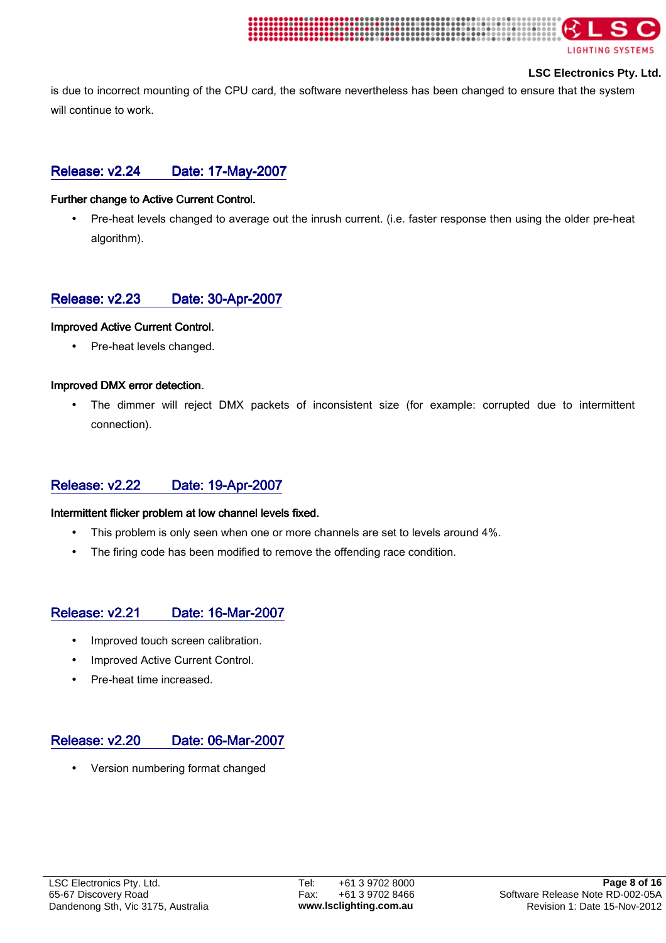

#### **LSC Electronics Pty. Ltd.**

is due to incorrect mounting of the CPU card, the software nevertheless has been changed to ensure that the system will continue to work.

# Release: v2.24 Date: 17-May-2007

#### Further change to Active Current Control.

• Pre-heat levels changed to average out the inrush current. (i.e. faster response then using the older pre-heat algorithm).

# Release: v2.23 Date: 30-Apr-2007

#### **Improved Active Current Control.**

• Pre-heat levels changed.

### Improved DMX error detection.

The dimmer will reject DMX packets of inconsistent size (for example: corrupted due to intermittent connection).

# Release: v2.22 Date: 19-Apr-2007

#### Intermittent flicker problem at low channel levels fixed.

- This problem is only seen when one or more channels are set to levels around 4%.
- The firing code has been modified to remove the offending race condition.

# Release: v2.21 Date: 16-Mar-2007

- Improved touch screen calibration.
- Improved Active Current Control.
- Pre-heat time increased.

# Release: v2.20 Date: 06-Mar-2007

• Version numbering format changed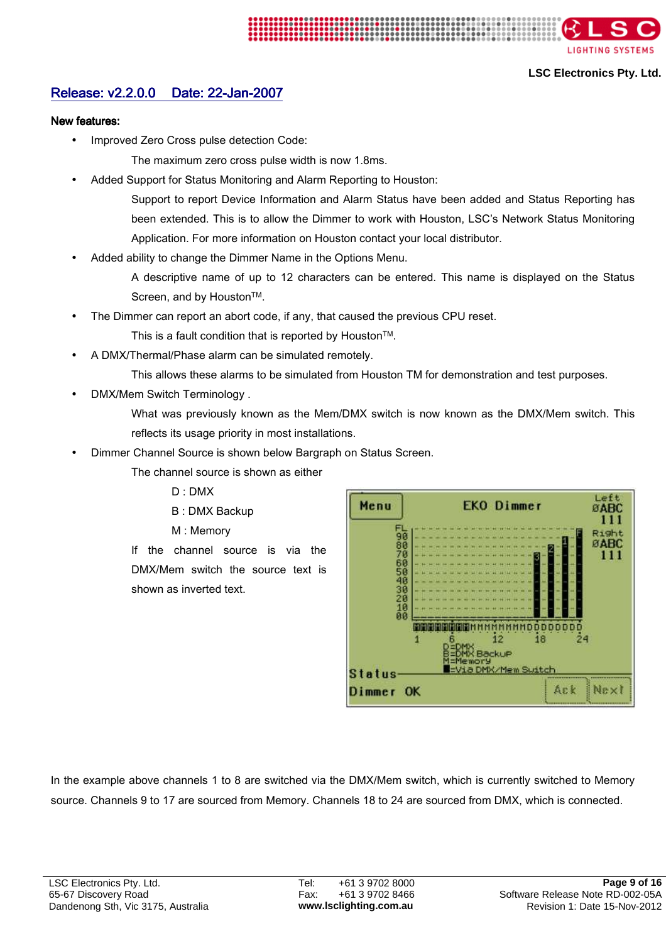

# Release: v2.2.0.0 Date: 22-Jan-2007

#### New features:

- Improved Zero Cross pulse detection Code:
	- The maximum zero cross pulse width is now 1.8ms.
- Added Support for Status Monitoring and Alarm Reporting to Houston:

Support to report Device Information and Alarm Status have been added and Status Reporting has been extended. This is to allow the Dimmer to work with Houston, LSC's Network Status Monitoring Application. For more information on Houston contact your local distributor.

Added ability to change the Dimmer Name in the Options Menu.

A descriptive name of up to 12 characters can be entered. This name is displayed on the Status Screen, and by Houston<sup>™.</sup>

The Dimmer can report an abort code, if any, that caused the previous CPU reset.

This is a fault condition that is reported by Houston™.

- A DMX/Thermal/Phase alarm can be simulated remotely.
	- This allows these alarms to be simulated from Houston TM for demonstration and test purposes.
- DMX/Mem Switch Terminology .

What was previously known as the Mem/DMX switch is now known as the DMX/Mem switch. This reflects its usage priority in most installations.

• Dimmer Channel Source is shown below Bargraph on Status Screen.

The channel source is shown as either

- D : DMX
- B : DMX Backup
- M : Memory

If the channel source is via the DMX/Mem switch the source text is shown as inverted text.



In the example above channels 1 to 8 are switched via the DMX/Mem switch, which is currently switched to Memory source. Channels 9 to 17 are sourced from Memory. Channels 18 to 24 are sourced from DMX, which is connected.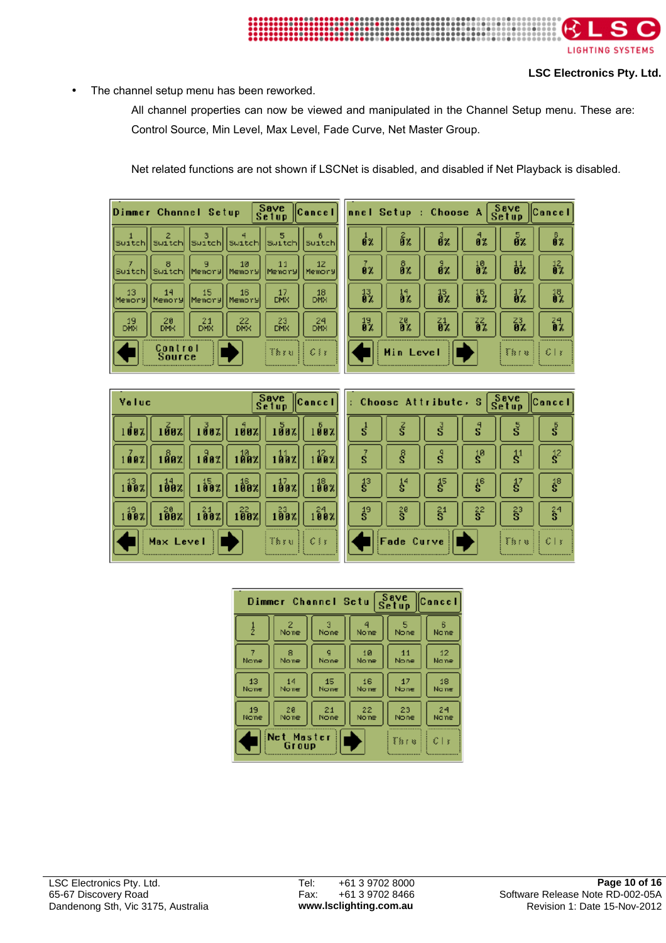

The channel setup menu has been reworked.

All channel properties can now be viewed and manipulated in the Channel Setup menu. These are: Control Source, Min Level, Max Level, Fade Curve, Net Master Group.

Net related functions are not shown if LSCNet is disabled, and disabled if Net Playback is disabled.

|                  |                   | Dimmer Channel Setup |                  | Save<br>Setup    | <b>Cancel</b> |
|------------------|-------------------|----------------------|------------------|------------------|---------------|
| Switchl          |                   | Switch Switch Switch |                  | Suitch           | Suitch        |
| Suitch           |                   | Switch Memory        | 10<br>Memory     | 11<br>Memory     | 12<br>Memory  |
| 13<br>Memory     | 14<br>Memory      | 15<br>Menory         | 16<br> Memory    | 17<br><b>DMX</b> | 18<br>DMX     |
| 19<br><b>DMX</b> | 20<br><b>DMK</b>  | 21<br><b>DHX</b>     | 22<br><b>DNX</b> | 23<br><b>DMX</b> | 24<br>DMX     |
|                  | Control<br>Source |                      |                  | ী হৈ য           | $C \wr x$     |



| <b>Yeluc</b>                                                        |           |                                                                                                                                              | Save<br>Setup                                                                                                                                 | $\ $ Cancel $\ $                  | $\therefore$ Choos |
|---------------------------------------------------------------------|-----------|----------------------------------------------------------------------------------------------------------------------------------------------|-----------------------------------------------------------------------------------------------------------------------------------------------|-----------------------------------|--------------------|
| 1007                                                                |           |                                                                                                                                              | $\frac{1}{2}$ 102   $\frac{3}{2}$ 102   $\frac{1}{2}$ 102   $\frac{5}{2}$ 102                                                                 | 1007                              |                    |
| 1002                                                                |           |                                                                                                                                              | $\frac{188}{2}$   $\frac{18}{2}$   $\frac{18}{2}$   $\frac{18}{2}$   $\frac{11}{2}$   $\frac{11}{2}$                                          | 102                               |                    |
| 100x                                                                |           |                                                                                                                                              | $\left  \frac{14}{100} \chi \right  \left  \frac{15}{100} \chi \right  \left  \frac{15}{100} \chi \right  \left  \frac{17}{100} \chi \right $ | 1002                              | $\frac{13}{5}$     |
| $\begin{smallmatrix} 19 \ 1 \ 0 \ 0 \ \mathbb{Z} \end{smallmatrix}$ |           | $\begin{bmatrix} 20 \\ 100 \\ x \end{bmatrix}$ $\begin{bmatrix} 24 \\ 100 \\ x \end{bmatrix}$ $\begin{bmatrix} 22 \\ 100 \\ x \end{bmatrix}$ | $-189x$                                                                                                                                       | $1\overset{24}{9}\overset{2}{8}x$ | $\frac{19}{5}$     |
|                                                                     | Max Level |                                                                                                                                              | The vill Cle                                                                                                                                  |                                   | F.                 |

|                      | Choose Attribute. |                            | - S                    | Save<br>Setup                            | Cancel                               |
|----------------------|-------------------|----------------------------|------------------------|------------------------------------------|--------------------------------------|
| $\overline{s}$       | ξ                 | $\vec{s}$                  | $\mathbf{s}^4$         | នី                                       | $\bar{\bar{\bf 5}}$                  |
| $\vec{s}$            | ŝ                 | g                          | i®                     | $\ddot{\text{s}}^{\scriptscriptstyle 1}$ | $\mathbf{\mathring{s}}^2$            |
| $\ddot{\tilde{s}}^3$ | $\frac{14}{5}$    | $\ddot{\S}$                | $\mathring{\S}^6$      | $_{\rm g}^{17}$                          | $\mathring{\mathbf{s}}^{\mathrm{s}}$ |
| $\frac{19}{5}$       | 20<br>S           | $\hat{\bar{\mathbf{s}}}^1$ | $\tilde{\mathbf{s}}^2$ | $\frac{23}{5}$                           | $\mathbf{\hat{s}}^4$                 |
|                      | Fade Curve        |                            |                        | ँँ81 छ।                                  | C <sub>1</sub>                       |

|      | Dimmer Channel Setu  |           |       | Save<br>Setup | Cancel          |
|------|----------------------|-----------|-------|---------------|-----------------|
| ļ    | 2<br>Nome            | з<br>None | None  | 5<br>None     | в<br>Nane       |
| 7    | 8                    | q         | 10    | 11            | 12 <sub>1</sub> |
| None | Nome                 | None      | No ne | None          | None            |
| 13   | 14                   | 15.       | 16.   | 17            | 18.             |
| None | None                 | None      | No ne | None          | None            |
| 19   | 20                   | 21        | 22    | 23            | 24              |
| None | Nome                 | None      | None  | None          | Nane            |
|      | Net Master<br>Gr oup |           |       | िं हैं। है    | €lx             |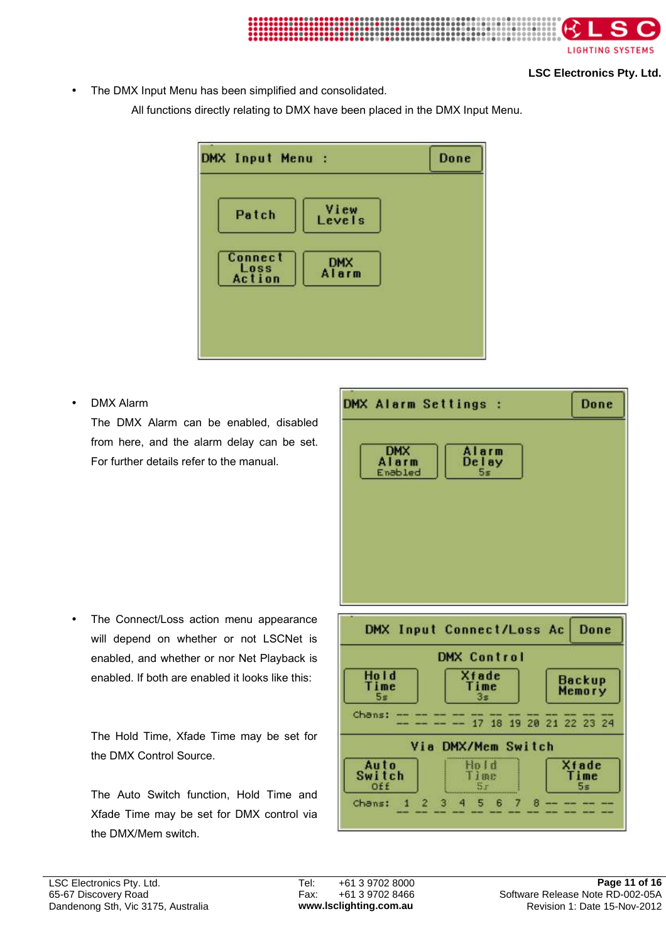

The DMX Input Menu has been simplified and consolidated.

All functions directly relating to DMX have been placed in the DMX Input Menu.

| Patch                            | View<br>Levels      |  |
|----------------------------------|---------------------|--|
| <b>Connect</b><br>Loss<br>Action | <b>DMX</b><br>Alarm |  |

• DMX Alarm

The DMX Alarm can be enabled, disabled from here, and the alarm delay can be set. For further details refer to the manual.

The Connect/Loss action menu appearance will depend on whether or not LSCNet is enabled, and whether or nor Net Playback is enabled. If both are enabled it looks like this:

The Hold Time, Xfade Time may be set for the DMX Control Source.

The Auto Switch function, Hold Time and Xfade Time may be set for DMX control via the DMX/Mem switch.

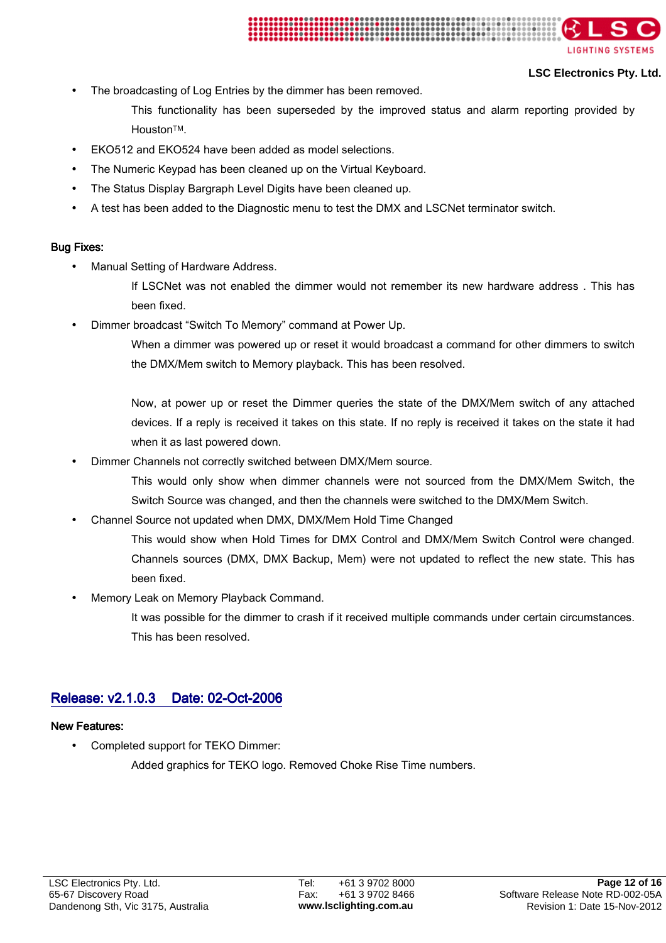

### **LSC Electronics Pty. Ltd.**

- The broadcasting of Log Entries by the dimmer has been removed.
	- This functionality has been superseded by the improved status and alarm reporting provided by HoustonTM.
- EKO512 and EKO524 have been added as model selections.
- The Numeric Keypad has been cleaned up on the Virtual Keyboard.
- The Status Display Bargraph Level Digits have been cleaned up.
- A test has been added to the Diagnostic menu to test the DMX and LSCNet terminator switch.

### **Bug Fixes:**

- Manual Setting of Hardware Address.
	- If LSCNet was not enabled the dimmer would not remember its new hardware address . This has been fixed.
- Dimmer broadcast "Switch To Memory" command at Power Up.

When a dimmer was powered up or reset it would broadcast a command for other dimmers to switch the DMX/Mem switch to Memory playback. This has been resolved.

Now, at power up or reset the Dimmer queries the state of the DMX/Mem switch of any attached devices. If a reply is received it takes on this state. If no reply is received it takes on the state it had when it as last powered down.

- Dimmer Channels not correctly switched between DMX/Mem source.
	- This would only show when dimmer channels were not sourced from the DMX/Mem Switch, the Switch Source was changed, and then the channels were switched to the DMX/Mem Switch.
- Channel Source not updated when DMX, DMX/Mem Hold Time Changed
	- This would show when Hold Times for DMX Control and DMX/Mem Switch Control were changed. Channels sources (DMX, DMX Backup, Mem) were not updated to reflect the new state. This has been fixed.
- Memory Leak on Memory Playback Command.

It was possible for the dimmer to crash if it received multiple commands under certain circumstances. This has been resolved.

# Release: v2.1.0.3 Date: 02-Oct-2006

### **New Features:**

• Completed support for TEKO Dimmer:

Added graphics for TEKO logo. Removed Choke Rise Time numbers.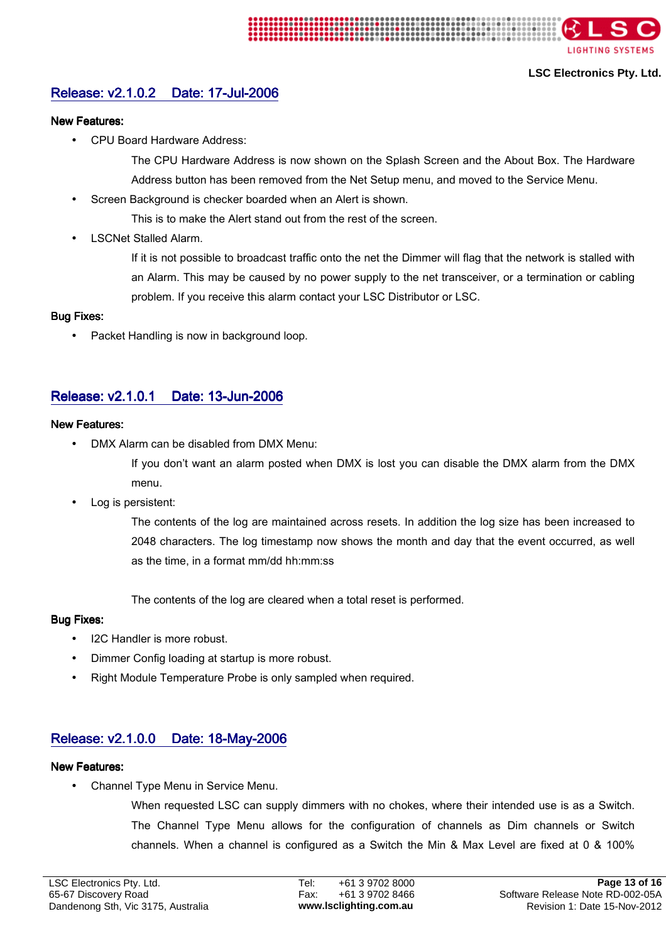

# Release: v2.1.0.2 Date: 17-Jul-2006

### **New Features:**

• CPU Board Hardware Address:

The CPU Hardware Address is now shown on the Splash Screen and the About Box. The Hardware Address button has been removed from the Net Setup menu, and moved to the Service Menu.

Screen Background is checker boarded when an Alert is shown.

This is to make the Alert stand out from the rest of the screen.

• LSCNet Stalled Alarm.

If it is not possible to broadcast traffic onto the net the Dimmer will flag that the network is stalled with an Alarm. This may be caused by no power supply to the net transceiver, or a termination or cabling problem. If you receive this alarm contact your LSC Distributor or LSC.

### **Bug Fixes:**

Packet Handling is now in background loop.

# Release: v2.1.0.1 Date: 13-Jun-2006

### **New Features:**

• DMX Alarm can be disabled from DMX Menu:

If you don't want an alarm posted when DMX is lost you can disable the DMX alarm from the DMX menu.

• Log is persistent:

The contents of the log are maintained across resets. In addition the log size has been increased to 2048 characters. The log timestamp now shows the month and day that the event occurred, as well as the time, in a format mm/dd hh:mm:ss

The contents of the log are cleared when a total reset is performed.

### **Bug Fixes:**

- I2C Handler is more robust.
- Dimmer Config loading at startup is more robust.
- Right Module Temperature Probe is only sampled when required.

# Release: v2.1.0.0 Date: 18-May-2006

# **New Features:**

• Channel Type Menu in Service Menu.

When requested LSC can supply dimmers with no chokes, where their intended use is as a Switch. The Channel Type Menu allows for the configuration of channels as Dim channels or Switch channels. When a channel is configured as a Switch the Min & Max Level are fixed at 0 & 100%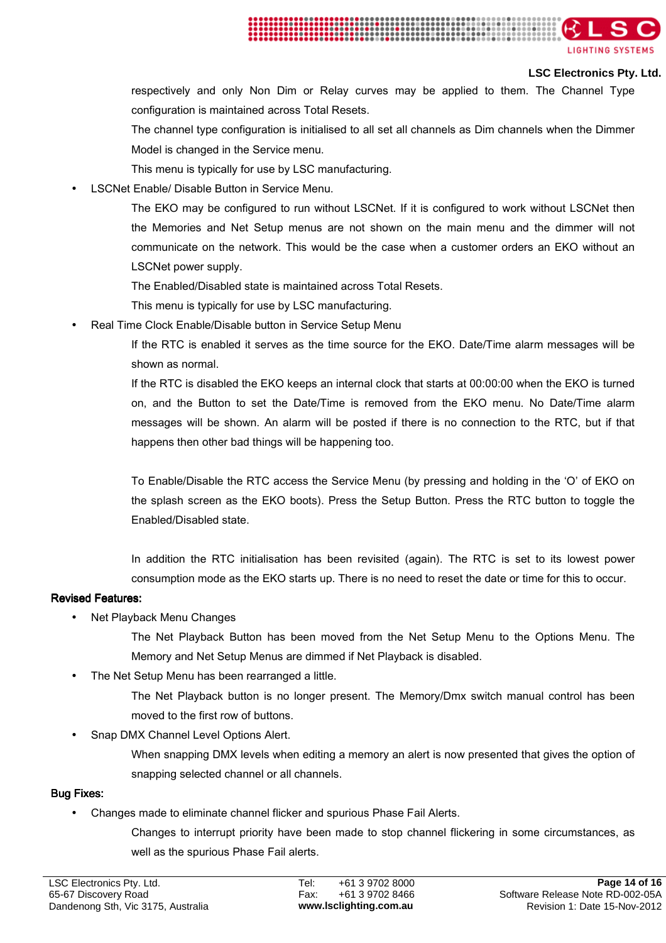

### **LSC Electronics Pty. Ltd.**

respectively and only Non Dim or Relay curves may be applied to them. The Channel Type configuration is maintained across Total Resets.

- The channel type configuration is initialised to all set all channels as Dim channels when the Dimmer Model is changed in the Service menu.
- This menu is typically for use by LSC manufacturing.
- LSCNet Enable/ Disable Button in Service Menu.

The EKO may be configured to run without LSCNet. If it is configured to work without LSCNet then the Memories and Net Setup menus are not shown on the main menu and the dimmer will not communicate on the network. This would be the case when a customer orders an EKO without an LSCNet power supply.

- The Enabled/Disabled state is maintained across Total Resets.
- This menu is typically for use by LSC manufacturing.
- Real Time Clock Enable/Disable button in Service Setup Menu

If the RTC is enabled it serves as the time source for the EKO. Date/Time alarm messages will be shown as normal.

If the RTC is disabled the EKO keeps an internal clock that starts at 00:00:00 when the EKO is turned on, and the Button to set the Date/Time is removed from the EKO menu. No Date/Time alarm messages will be shown. An alarm will be posted if there is no connection to the RTC, but if that happens then other bad things will be happening too.

To Enable/Disable the RTC access the Service Menu (by pressing and holding in the 'O' of EKO on the splash screen as the EKO boots). Press the Setup Button. Press the RTC button to toggle the Enabled/Disabled state.

In addition the RTC initialisation has been revisited (again). The RTC is set to its lowest power consumption mode as the EKO starts up. There is no need to reset the date or time for this to occur.

### Revised Features: Revised Features:

• Net Playback Menu Changes

The Net Playback Button has been moved from the Net Setup Menu to the Options Menu. The Memory and Net Setup Menus are dimmed if Net Playback is disabled.

The Net Setup Menu has been rearranged a little.

The Net Playback button is no longer present. The Memory/Dmx switch manual control has been moved to the first row of buttons.

• Snap DMX Channel Level Options Alert.

When snapping DMX levels when editing a memory an alert is now presented that gives the option of snapping selected channel or all channels.

### **Bug Fixes:**

• Changes made to eliminate channel flicker and spurious Phase Fail Alerts.

Changes to interrupt priority have been made to stop channel flickering in some circumstances, as well as the spurious Phase Fail alerts.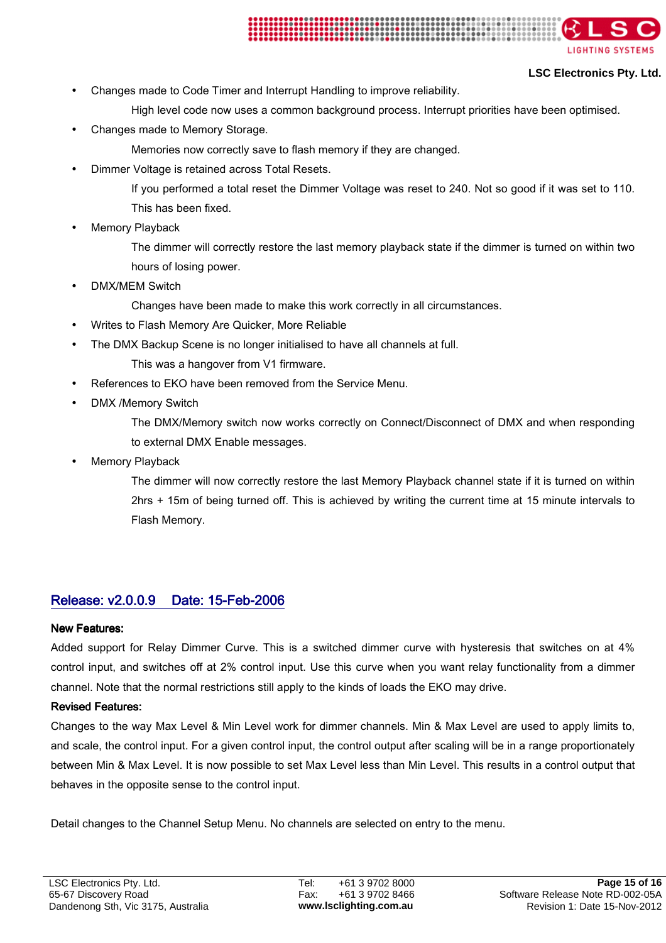

- Changes made to Code Timer and Interrupt Handling to improve reliability.
	- High level code now uses a common background process. Interrupt priorities have been optimised.
- Changes made to Memory Storage.
	- Memories now correctly save to flash memory if they are changed.
- Dimmer Voltage is retained across Total Resets.
	- If you performed a total reset the Dimmer Voltage was reset to 240. Not so good if it was set to 110. This has been fixed.
- **Memory Playback**

The dimmer will correctly restore the last memory playback state if the dimmer is turned on within two hours of losing power.

DMX/MEM Switch

Changes have been made to make this work correctly in all circumstances.

- Writes to Flash Memory Are Quicker, More Reliable
- The DMX Backup Scene is no longer initialised to have all channels at full.
	- This was a hangover from V1 firmware.
- References to EKO have been removed from the Service Menu.
- DMX /Memory Switch

The DMX/Memory switch now works correctly on Connect/Disconnect of DMX and when responding to external DMX Enable messages.

**Memory Playback** 

The dimmer will now correctly restore the last Memory Playback channel state if it is turned on within 2hrs + 15m of being turned off. This is achieved by writing the current time at 15 minute intervals to Flash Memory.

# Release: v2.0.0.9 Date: 15-Feb-2006

### **New Features:**

Added support for Relay Dimmer Curve. This is a switched dimmer curve with hysteresis that switches on at 4% control input, and switches off at 2% control input. Use this curve when you want relay functionality from a dimmer channel. Note that the normal restrictions still apply to the kinds of loads the EKO may drive.

### Revised Features: Revised Features:

Changes to the way Max Level & Min Level work for dimmer channels. Min & Max Level are used to apply limits to, and scale, the control input. For a given control input, the control output after scaling will be in a range proportionately between Min & Max Level. It is now possible to set Max Level less than Min Level. This results in a control output that behaves in the opposite sense to the control input.

Detail changes to the Channel Setup Menu. No channels are selected on entry to the menu.